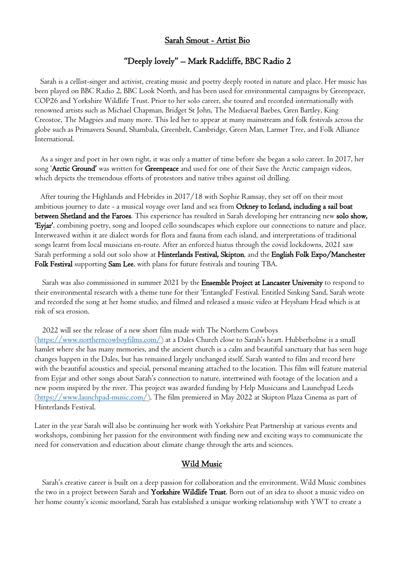# Sarah Smout - Artist Bio

### "Deeply lovely" – Mark Radcliffe, BBC Radio 2

 Sarah is a cellist-singer and activist, creating music and poetry deeply rooted in nature and place. Her music has been played on BBC Radio 2, BBC Look North, and has been used for environmental campaigns by Greenpeace, COP26 and Yorkshire Wildlife Trust. Prior to her solo career, she toured and recorded internationally with renowned artists such as Michael Chapman, Bridget St John, The Mediaeval Baebes, Gren Bartley, King Creostoe, The Magpies and many more. This led her to appear at many mainstream and folk festivals across the globe such as Primavera Sound, Shambala, Greenbelt, Cambridge, Green Man, Larmer Tree, and Folk Alliance International.

 As a singer and poet in her own right, it was only a matter of time before she began a solo career. In 2017, her song 'Arctic Ground' was written for Greenpeace and used for one of their Save the Arctic campaign videos, which depicts the tremendous efforts of protestors and native tribes against oil drilling.

 After touring the Highlands and Hebrides in 2017/18 with Sophie Ramsay, they set off on their most ambitious journey to date - a musical voyage over land and sea from Orkney to Iceland, including a sail boat between Shetland and the Faroes. This experience has resulted in Sarah developing her entrancing new solo show, 'Eyjar', combining poetry, song and looped cello soundscapes which explore our connections to nature and place. Interweaved within it are dialect words for flora and fauna from each island, and interpretations of traditional songs learnt from local musicians en-route. After an enforced hiatus through the covid lockdowns, 2021 saw Sarah performing a sold out solo show at Hinterlands Festival, Skipton, and the English Folk Expo/Manchester Folk Festival supporting Sam Lee, with plans for future festivals and touring TBA.

 Sarah was also commissioned in summer 2021 by the Ensemble Project at Lancaster University to respond to their environmental research with a theme tune for their 'Entangled' Festival. Entitled Sinking Sand, Sarah wrote and recorded the song at her home studio, and filmed and released a music video at Heysham Head which is at risk of sea erosion.

2022 will see the release of a new short film made with The Northern Cowboys

(https://www.northerncowboyfilms.com/) at a Dales Church close to Sarah's heart. Hubberholme is a small hamlet where she has many memories, and the ancient church is a calm and beautiful sanctuary that has seen huge changes happen in the Dales, but has remained largely unchanged itself. Sarah wanted to film and record here with the beautiful acoustics and special, personal meaning attached to the location. This film will feature material from Eyjar and other songs about Sarah's connection to nature, intertwined with footage of the location and a new poem inspired by the river. This project was awarded funding by Help Musicians and Launchpad Leeds (https://www.launchpad-music.com/). The film premiered in May 2022 at Skipton Plaza Cinema as part of Hinterlands Festival.

Later in the year Sarah will also be continuing her work with Yorkshire Peat Partnership at various events and workshops, combining her passion for the environment with finding new and exciting ways to communicate the need for conservation and education about climate change through the arts and sciences.

#### Wild Music

 Sarah's creative career is built on a deep passion for collaboration and the environment. Wild Music combines the two in a project between Sarah and Yorkshire Wildlife Trust. Born out of an idea to shoot a music video on her home county's iconic moorland, Sarah has established a unique working relationship with YWT to create a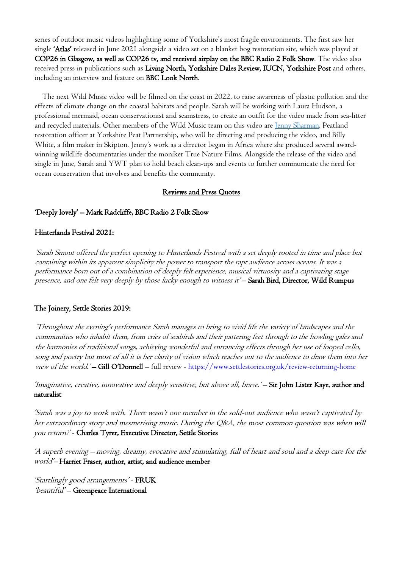series of outdoor music videos highlighting some of Yorkshire's most fragile environments. The first saw her single 'Atlas' released in June 2021 alongside a video set on a blanket bog restoration site, which was played at COP26 in Glasgow, as well as COP26 tv, and received airplay on the BBC Radio 2 Folk Show. The video also received press in publications such as Living North, Yorkshire Dales Review, IUCN, Yorkshire Post and others, including an interview and feature on BBC Look North.

 The next Wild Music video will be filmed on the coast in 2022, to raise awareness of plastic pollution and the effects of climate change on the coastal habitats and people. Sarah will be working with Laura Hudson, a professional mermaid, ocean conservationist and seamstress, to create an outfit for the video made from sea-litter and recycled materials. Other members of the Wild Music team on this video are Jenny Sharman, Peatland restoration officer at Yorkshire Peat Partnership, who will be directing and producing the video, and Billy White, a film maker in Skipton. Jenny's work as a director began in Africa where she produced several awardwinning wildlife documentaries under the moniker True Nature Films. Alongside the release of the video and single in June, Sarah and YWT plan to hold beach clean-ups and events to further communicate the need for ocean conservation that involves and benefits the community.

### Reviews and Press Quotes

### 'Deeply lovely' – Mark Radcliffe, BBC Radio 2 Folk Show

#### Hinterlands Festival 2021:

'Sarah Smout offered the perfect opening to Hinterlands Festival with a set deeply rooted in time and place but containing within its apparent simplicity the power to transport the rapt audience across oceans. It was a performance born out of a combination of deeply felt experience, musical virtuosity and a captivating stage presence, and one felt very deeply by those lucky enough to witness it' – Sarah Bird, Director, Wild Rumpus

# The Joinery, Settle Stories 2019:

'Throughout the evening's performance Sarah manages to bring to vivid life the variety of landscapes and the communities who inhabit them, from cries of seabirds and their pattering feet through to the howling gales and the harmonies of traditional songs, achieving wonderful and entrancing effects through her use of looped cello, song and poetry but most of all it is her clarity of vision which reaches out to the audience to draw them into her view of the world.'-Gill O'Donnell - full review - https://www.settlestories.org.uk/review-returning-home

'Imaginative, creative, innovative and deeply sensitive, but above all, brave.' – Sir John Lister Kaye, author and naturalist

'Sarah was a joy to work with. There wasn't one member in the sold-out audience who wasn't captivated by her extraordinary story and mesmerising music. During the Q&A, the most common question was when will you return?' - Charles Tyrer, Executive Director, Settle Stories

'A superb evening – moving, dreamy, evocative and stimulating, full of heart and soul and a deep care for the world'– Harriet Fraser, author, artist, and audience member

'Startlingly good arrangements' - FRUK 'beautiful' - Greenpeace International